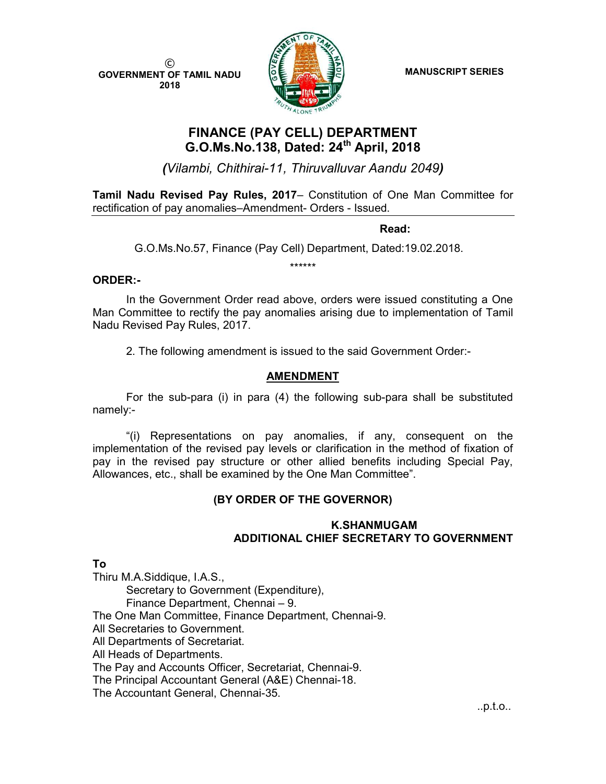© GOVERNMENT OF TAMIL NADU 2018



MANUSCRIPT SERIES

# FINANCE (PAY CELL) DEPARTMENT G.O.Ms.No.138, Dated: 24<sup>th</sup> April, 2018

(Vilambi, Chithirai-11, Thiruvalluvar Aandu 2049)

Tamil Nadu Revised Pay Rules, 2017– Constitution of One Man Committee for rectification of pay anomalies–Amendment- Orders - Issued.

**Read:** The contract of the contract of the contract of the Read:

G.O.Ms.No.57, Finance (Pay Cell) Department, Dated:19.02.2018.

\*\*\*\*\*\*

### ORDER:-

In the Government Order read above, orders were issued constituting a One Man Committee to rectify the pay anomalies arising due to implementation of Tamil Nadu Revised Pay Rules, 2017.

2. The following amendment is issued to the said Government Order:-

### AMENDMENT

 For the sub-para (i) in para (4) the following sub-para shall be substituted namely:-

 "(i) Representations on pay anomalies, if any, consequent on the implementation of the revised pay levels or clarification in the method of fixation of pay in the revised pay structure or other allied benefits including Special Pay, Allowances, etc., shall be examined by the One Man Committee".

## (BY ORDER OF THE GOVERNOR)

#### K.SHANMUGAM ADDITIONAL CHIEF SECRETARY TO GOVERNMENT

To

Thiru M.A.Siddique, I.A.S., Secretary to Government (Expenditure), Finance Department, Chennai – 9. The One Man Committee, Finance Department, Chennai-9. All Secretaries to Government. All Departments of Secretariat. All Heads of Departments. The Pay and Accounts Officer, Secretariat, Chennai-9. The Principal Accountant General (A&E) Chennai-18. The Accountant General, Chennai-35.

..p.t.o..